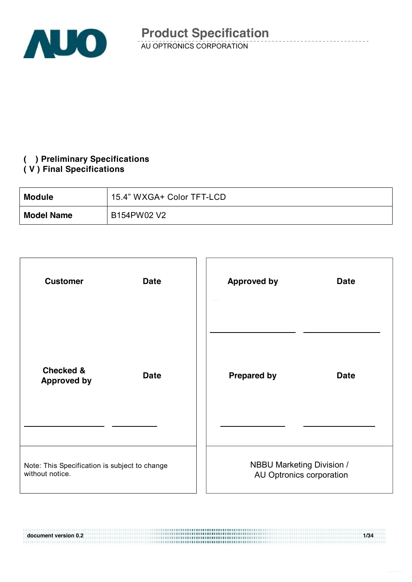

### **( ) Preliminary Specifications**

#### **( V ) Final Specifications**

111910101103303000111377

| <b>Module</b>     | 15.4" WXGA+ Color TFT-LCD |
|-------------------|---------------------------|
| <b>Model Name</b> | B154PW02 V2               |

| <b>Customer</b><br><b>Date</b>                                   | <b>Approved by</b>               | <b>Date</b>              |
|------------------------------------------------------------------|----------------------------------|--------------------------|
| <b>Checked &amp;</b><br><b>Date</b><br><b>Approved by</b>        | <b>Prepared by</b>               | <b>Date</b>              |
| Note: This Specification is subject to change<br>without notice. | <b>NBBU Marketing Division /</b> | AU Optronics corporation |

**document version 0.2 1/34**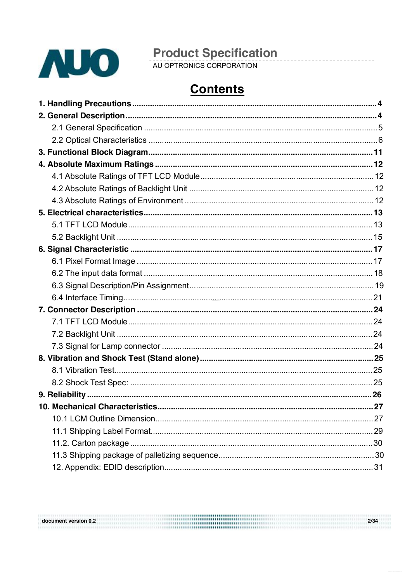

document version 0.2

# **Product Specification**<br>AU OPTRONICS CORPORATION

## **Contents**

| 27 |
|----|
|    |
|    |
|    |
|    |
|    |

 $2/34$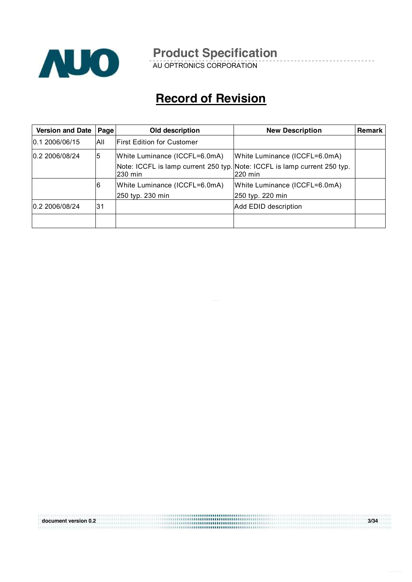

AU OPTRONICS CORPORATION

## **Record of Revision**

| <b>Version and Date</b> | Page | Old description                                   | <b>New Description</b>                                                                                                | <b>Remark</b> |
|-------------------------|------|---------------------------------------------------|-----------------------------------------------------------------------------------------------------------------------|---------------|
| 0.1 2006/06/15          | All  | <b>First Edition for Customer</b>                 |                                                                                                                       |               |
| 0.2 2006/08/24          | 5    | White Luminance (ICCFL=6.0mA)<br>230 min          | White Luminance (ICCFL=6.0mA)<br>Note: ICCFL is lamp current 250 typ. Note: ICCFL is lamp current 250 typ.<br>220 min |               |
|                         | 6    | White Luminance (ICCFL=6.0mA)<br>250 typ. 230 min | White Luminance (ICCFL=6.0mA)<br>250 typ. 220 min                                                                     |               |
| 0.2 2006/08/24          | 31   |                                                   | Add EDID description                                                                                                  |               |
|                         |      |                                                   |                                                                                                                       |               |

**document version 0.2 3/34**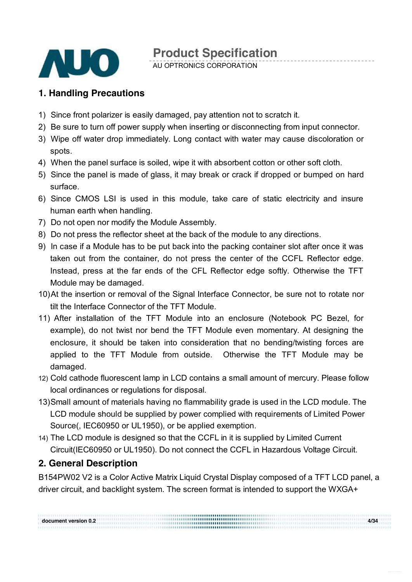

AU OPTRONICS CORPORATION

### **1. Handling Precautions**

- 1) Since front polarizer is easily damaged, pay attention not to scratch it.
- 2) Be sure to turn off power supply when inserting or disconnecting from input connector.
- 3) Wipe off water drop immediately. Long contact with water may cause discoloration or spots.
- 4) When the panel surface is soiled, wipe it with absorbent cotton or other soft cloth.
- 5) Since the panel is made of glass, it may break or crack if dropped or bumped on hard surface.
- 6) Since CMOS LSI is used in this module, take care of static electricity and insure human earth when handling.
- 7) Do not open nor modify the Module Assembly.
- 8) Do not press the reflector sheet at the back of the module to any directions.
- 9) In case if a Module has to be put back into the packing container slot after once it was taken out from the container, do not press the center of the CCFL Reflector edge. Instead, press at the far ends of the CFL Reflector edge softly. Otherwise the TFT Module may be damaged.
- 10)At the insertion or removal of the Signal Interface Connector, be sure not to rotate nor tilt the Interface Connector of the TFT Module.
- 11) After installation of the TFT Module into an enclosure (Notebook PC Bezel, for example), do not twist nor bend the TFT Module even momentary. At designing the enclosure, it should be taken into consideration that no bending/twisting forces are applied to the TFT Module from outside. Otherwise the TFT Module may be damaged.
- 12) Cold cathode fluorescent lamp in LCD contains a small amount of mercury. Please follow local ordinances or regulations for disposal.
- 13)Small amount of materials having no flammability grade is used in the LCD module. The LCD module should be supplied by power complied with requirements of Limited Power Source(, IEC60950 or UL1950), or be applied exemption.
- 14) The LCD module is designed so that the CCFL in it is supplied by Limited Current Circuit(IEC60950 or UL1950). Do not connect the CCFL in Hazardous Voltage Circuit.

### **2. General Description**

B154PW02 V2 is a Color Active Matrix Liquid Crystal Display composed of a TFT LCD panel, a driver circuit, and backlight system. The screen format is intended to support the WXGA+

**document version 0.2 4/34**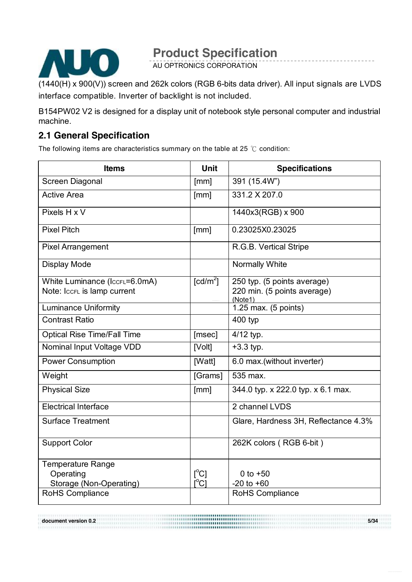

AU OPTRONICS CORPORATION

(1440(H) x 900(V)) screen and 262k colors (RGB 6-bits data driver). All input signals are LVDS interface compatible. Inverter of backlight is not included.

B154PW02 V2 is designed for a display unit of notebook style personal computer and industrial machine.

### **2.1 General Specification**

The following items are characteristics summary on the table at 25  $°C$  condition:

| <b>Items</b>                       | <b>Unit</b>               | <b>Specifications</b>                  |
|------------------------------------|---------------------------|----------------------------------------|
| Screen Diagonal                    | [mm]                      | 391 (15.4W")                           |
| <b>Active Area</b>                 | [mm]                      | 331.2 X 207.0                          |
| Pixels H x V                       |                           | 1440x3(RGB) x 900                      |
| <b>Pixel Pitch</b>                 | [mm]                      | 0.23025X0.23025                        |
| <b>Pixel Arrangement</b>           |                           | R.G.B. Vertical Stripe                 |
| Display Mode                       |                           | Normally White                         |
| White Luminance (IccFL=6.0mA)      | [cd/m <sup>2</sup> ]      | 250 typ. (5 points average)            |
| Note: IccFL is lamp current        |                           | 220 min. (5 points average)<br>(Note1) |
| <b>Luminance Uniformity</b>        |                           | 1.25 max. (5 points)                   |
| <b>Contrast Ratio</b>              |                           | 400 typ                                |
| <b>Optical Rise Time/Fall Time</b> | [msec]                    | 4/12 typ.                              |
| Nominal Input Voltage VDD          | [Volt]                    | $+3.3$ typ.                            |
| <b>Power Consumption</b>           | [Watt]                    | 6.0 max.(without inverter)             |
| Weight                             | [Grams]                   | 535 max.                               |
| <b>Physical Size</b>               | [mm]                      | 344.0 typ. x 222.0 typ. x 6.1 max.     |
| <b>Electrical Interface</b>        |                           | 2 channel LVDS                         |
| <b>Surface Treatment</b>           |                           | Glare, Hardness 3H, Reflectance 4.3%   |
| <b>Support Color</b>               |                           | 262K colors (RGB 6-bit)                |
| <b>Temperature Range</b>           |                           |                                        |
| Operating                          | $\lceil{^{\circ}C}\rceil$ | 0 to $+50$                             |
| Storage (Non-Operating)            | $\mathsf{I}^{\circ}$ Cl   | $-20$ to $+60$                         |
| RoHS Compliance                    |                           | <b>RoHS Compliance</b>                 |

**document version 0.2 5/34**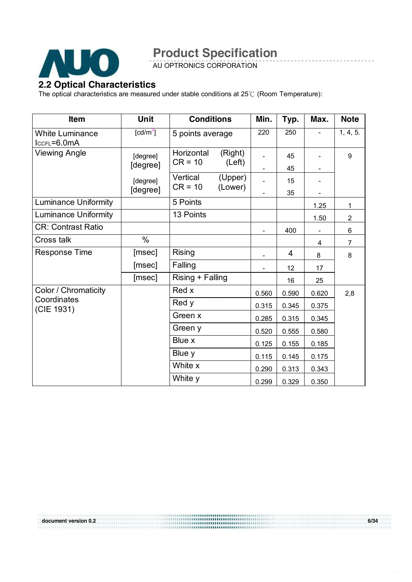

AU OPTRONICS CORPORATION

#### **2.2 Optical Characteristics**

The optical characteristics are measured under stable conditions at 25℃ (Room Temperature):

| <b>Item</b>                               | Unit                 | <b>Conditions</b>       |                   | Min.                     | Typ.  | Max.                     | <b>Note</b>    |
|-------------------------------------------|----------------------|-------------------------|-------------------|--------------------------|-------|--------------------------|----------------|
| <b>White Luminance</b><br>$lccFL = 6.0mA$ | [ $cd/m2$ ]          |                         | 5 points average  |                          | 250   |                          | 1, 4, 5.       |
| <b>Viewing Angle</b>                      | [degree]<br>[degree] | Horizontal<br>$CR = 10$ | (Right)<br>(Left) |                          | 45    |                          | 9              |
|                                           |                      |                         |                   |                          | 45    |                          |                |
|                                           | [degree]             | Vertical<br>$CR = 10$   | (Upper)           |                          | 15    |                          |                |
|                                           | [degree]             |                         | (Lower)           |                          | 35    |                          |                |
| <b>Luminance Uniformity</b>               |                      | 5 Points                |                   |                          |       | 1.25                     | 1              |
| <b>Luminance Uniformity</b>               |                      | 13 Points               |                   |                          |       | 1.50                     | $\overline{2}$ |
| <b>CR: Contrast Ratio</b>                 |                      |                         |                   | $\overline{\phantom{a}}$ | 400   | $\overline{\phantom{a}}$ | 6              |
| Cross talk                                | $\%$                 |                         |                   |                          |       | 4                        | $\overline{7}$ |
| <b>Response Time</b>                      | [msec]               | <b>Rising</b>           |                   |                          | 4     | 8                        | 8              |
|                                           | [msec]               | Falling                 |                   |                          | 12    | 17                       |                |
|                                           | [msec]               | Rising + Falling        |                   |                          | 16    | 25                       |                |
| Color / Chromaticity                      |                      | Red x                   |                   | 0.560                    | 0.590 | 0.620                    | 2,8            |
| Coordinates<br>(CIE 1931)                 |                      | Red y                   |                   | 0.315                    | 0.345 | 0.375                    |                |
|                                           |                      | Green x                 |                   | 0.285                    | 0.315 | 0.345                    |                |
|                                           |                      | Green y                 |                   | 0.520                    | 0.555 | 0.580                    |                |
|                                           |                      | Blue x                  |                   | 0.125                    | 0.155 | 0.185                    |                |
|                                           |                      | Blue y                  |                   | 0.115                    | 0.145 | 0.175                    |                |
|                                           |                      | White x                 |                   | 0.290                    | 0.313 | 0.343                    |                |
|                                           |                      | White y                 |                   | 0.299                    | 0.329 | 0.350                    |                |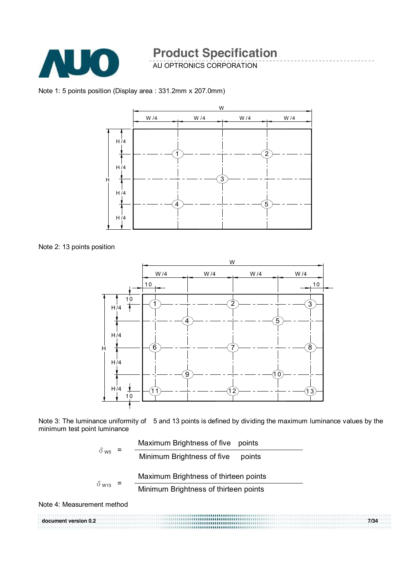

AU OPTRONICS CORPORATION

Note 1: 5 points position (Display area : 331.2mm x 207.0mm)



Note 2: 13 points position

![](_page_6_Figure_6.jpeg)

Note 3: The luminance uniformity of 5 and 13 points is defined by dividing the maximum luminance values by the minimum test point luminance

![](_page_6_Figure_8.jpeg)

Note 4: Measurement method

|                      | ,,,,,,,,,,,,, <b>,,,,,,,,,,,,,,,</b> ,,,,,,,                               |      |
|----------------------|----------------------------------------------------------------------------|------|
| document version 0.2 | ,,,,,,,,,,,,,,,,,,,,,,,,,,,,,,,,,,,<br>,,,,,,,,,,,,,,,,,,,,,,,,,,,,,,,,,,, | 7/34 |
|                      | ,,,,,,, <b>,,,,,,,,,,,,,,,,,,</b> ,,,,,,,,,,                               |      |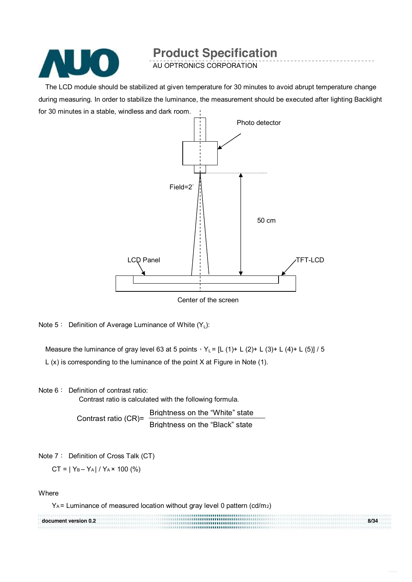![](_page_7_Picture_0.jpeg)

AU OPTRONICS CORPORATION

The LCD module should be stabilized at given temperature for 30 minutes to avoid abrupt temperature change during measuring. In order to stabilize the luminance, the measurement should be executed after lighting Backlight for 30 minutes in a stable, windless and dark room.

![](_page_7_Figure_4.jpeg)

Center of the screen

Note 5: Definition of Average Luminance of White  $(Y_1)$ :

Measure the luminance of gray level 63 at 5 points,  $Y_L = [L (1) + L (2) + L (3) + L (4) + L (5)] / 5$ L (x) is corresponding to the luminance of the point X at Figure in Note (1).

Note 6: Definition of contrast ratio:

Contrast ratio is calculated with the following formula.

Contrast ratio (CR)= Brightness on the "White" state Brightness on the "Black" state

Note 7: Definition of Cross Talk (CT)

 $CT = |Y_B - Y_A| / Y_A \times 100$  (%)

**Where** 

YA = Luminance of measured location without gray level 0 pattern (cd/m2)

|                      | <b></b> |      |
|----------------------|---------|------|
| document version 0.2 |         | 8/34 |
|                      |         |      |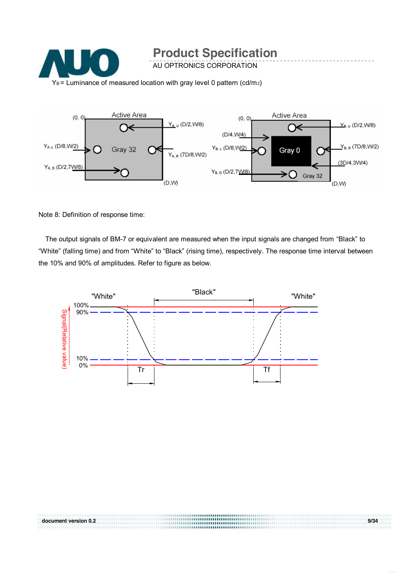![](_page_8_Picture_0.jpeg)

![](_page_8_Figure_1.jpeg)

Note 8: Definition of response time:

The output signals of BM-7 or equivalent are measured when the input signals are changed from "Black" to "White" (falling time) and from "White" to "Black" (rising time), respectively. The response time interval between the 10% and 90% of amplitudes. Refer to figure as below.

![](_page_8_Figure_4.jpeg)

**document version 0.2 9/34**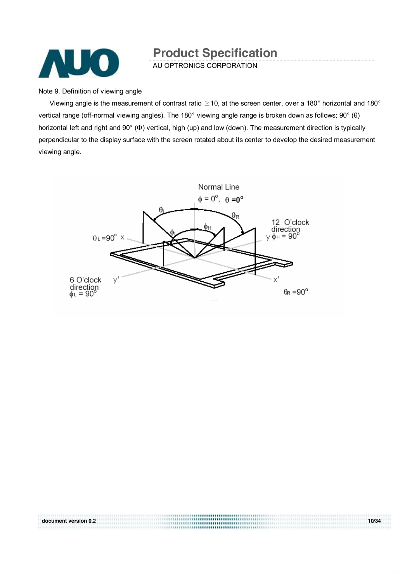![](_page_9_Picture_0.jpeg)

AU OPTRONICS CORPORATION

Note 9. Definition of viewing angle

Viewing angle is the measurement of contrast ratio  $\geq$  10, at the screen center, over a 180° horizontal and 180° vertical range (off-normal viewing angles). The 180° viewing angle range is broken down as follows; 90° (θ) horizontal left and right and 90° (Φ) vertical, high (up) and low (down). The measurement direction is typically perpendicular to the display surface with the screen rotated about its center to develop the desired measurement viewing angle.

![](_page_9_Figure_5.jpeg)

**document version 0.2 10/34**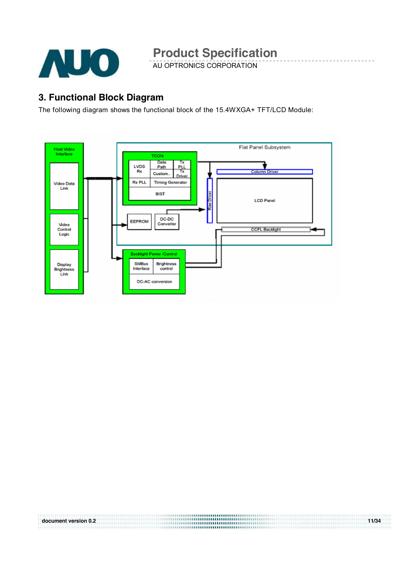![](_page_10_Picture_0.jpeg)

AU OPTRONICS CORPORATION

### **3. Functional Block Diagram**

The following diagram shows the functional block of the 15.4WXGA+ TFT/LCD Module:

![](_page_10_Figure_5.jpeg)

**document version 0.2 11/34**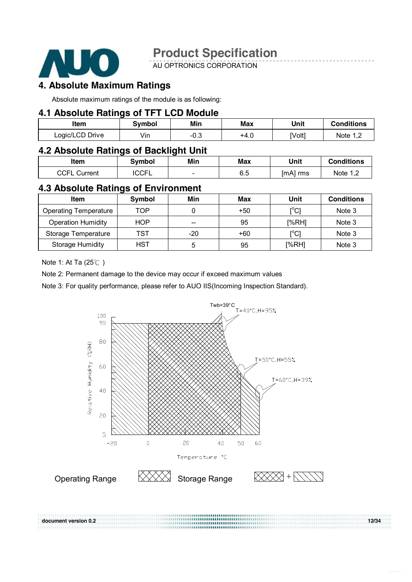![](_page_11_Picture_0.jpeg)

AU OPTRONICS CORPORATION

### **4. Absolute Maximum Ratings**

Absolute maximum ratings of the module is as following:

#### **4.1 Absolute Ratings of TFT LCD Module**

| Item            | Svmbol          | Min   | <b>Max</b> | Unit   | <b>Conditions</b> |
|-----------------|-----------------|-------|------------|--------|-------------------|
| Logic/LCD Drive | $\cdots$<br>Vın | - 0.∪ | +4.∪       | [Volt] | Mote 1 T          |

#### **4.2 Absolute Ratings of Backlight Unit**

| Item            | Svmbol       | Min | <b>Max</b> | Unit     | <b>Conditions</b> |
|-----------------|--------------|-----|------------|----------|-------------------|
| CCFL<br>Current | <b>ICCFL</b> | -   | 6.5        | [mA] rms | Note<br>.         |

#### **4.3 Absolute Ratings of Environment**

| Item                         | <b>Symbol</b> | Min   | Max   | Unit                         | <b>Conditions</b> |
|------------------------------|---------------|-------|-------|------------------------------|-------------------|
| <b>Operating Temperature</b> | TOP           |       | $+50$ | $\mathsf{I}^\circ\mathsf{C}$ | Note 3            |
| <b>Operation Humidity</b>    | <b>HOP</b>    | --    | 95    | [%RH]                        | Note 3            |
| Storage Temperature          | TST           | $-20$ | $+60$ | [°C]                         | Note 3            |
| <b>Storage Humidity</b>      | <b>HST</b>    | b     | 95    | [%RH]                        | Note 3            |

Note 1: At Ta (25℃ )

Note 2: Permanent damage to the device may occur if exceed maximum values

Note 3: For quality performance, please refer to AUO IIS(Incoming Inspection Standard).

![](_page_11_Figure_14.jpeg)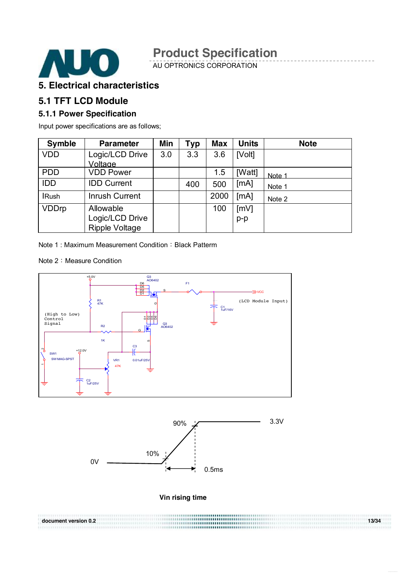![](_page_12_Picture_0.jpeg)

AU OPTRONICS CORPORATION

#### **5. Electrical characteristics**

#### **5.1 TFT LCD Module**

#### **5.1.1 Power Specification**

Input power specifications are as follows;

| <b>Symble</b> | <b>Parameter</b>           | Min | <b>Typ</b> | <b>Max</b> | <b>Units</b> | <b>Note</b> |
|---------------|----------------------------|-----|------------|------------|--------------|-------------|
| <b>VDD</b>    | Logic/LCD Drive<br>Voltage | 3.0 | 3.3        | 3.6        | [Volt]       |             |
| <b>PDD</b>    | <b>VDD Power</b>           |     |            | 1.5        | [Watt]       | Note 1      |
| <b>IDD</b>    | <b>IDD Current</b>         |     | 400        | 500        | [mA]         | Note 1      |
| <b>IRush</b>  | Inrush Current             |     |            | 2000       | [mA]         | Note 2      |
| <b>VDDrp</b>  | Allowable                  |     |            | 100        | [mV]         |             |
|               | Logic/LCD Drive            |     |            |            | $p-p$        |             |
|               | <b>Ripple Voltage</b>      |     |            |            |              |             |

Note 1: Maximum Measurement Condition: Black Patterm

Note 2: Measure Condition

![](_page_12_Figure_10.jpeg)

![](_page_12_Figure_11.jpeg)

**Vin rising time** 

**document version 0.2 13/34**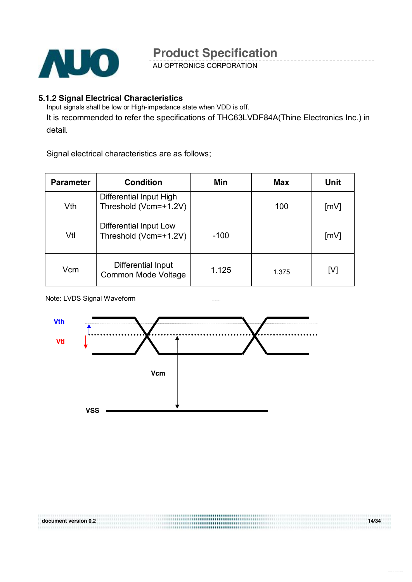![](_page_13_Picture_0.jpeg)

AU OPTRONICS CORPORATION

#### **5.1.2 Signal Electrical Characteristics**

Input signals shall be low or High-impedance state when VDD is off.

It is recommended to refer the specifications of THC63LVDF84A(Thine Electronics Inc.) in detail.

Signal electrical characteristics are as follows;

| <b>Parameter</b> | <b>Condition</b>                                 | Min    | Max   | Unit |
|------------------|--------------------------------------------------|--------|-------|------|
| Vth              | Differential Input High<br>Threshold (Vcm=+1.2V) |        | 100   | [mV] |
| Vtl              | Differential Input Low<br>Threshold (Vcm=+1.2V)  | $-100$ |       | [mV] |
| Vcm              | Differential Input<br>Common Mode Voltage        | 1.125  | 1.375 | [V]  |

Note: LVDS Signal Waveform

![](_page_13_Figure_9.jpeg)

**document version 0.2 14/34**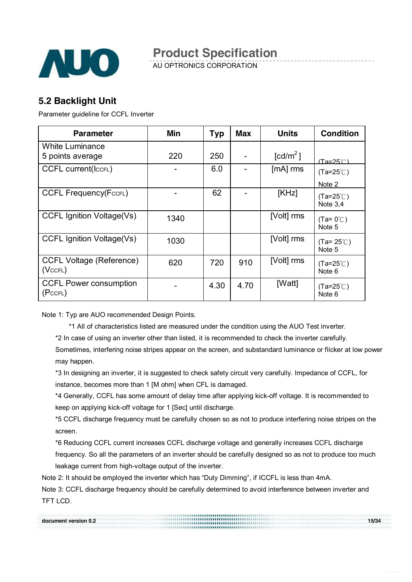![](_page_14_Picture_0.jpeg)

AU OPTRONICS CORPORATION

### **5.2 Backlight Unit**

Parameter guideline for CCFL Inverter

| <b>Parameter</b>                                 | Min  | <b>Typ</b> | <b>Max</b> | <b>Units</b>         | <b>Condition</b>               |
|--------------------------------------------------|------|------------|------------|----------------------|--------------------------------|
| <b>White Luminance</b>                           |      |            |            |                      |                                |
| 5 points average                                 | 220  | 250        |            | [cd/m <sup>2</sup> ] | $(Ta=25^\circ \text{C})$       |
| <b>CCFL current(ICCFL)</b>                       |      | 6.0        |            | $[mA]$ rms           | $(Ta=25^{\circ}C)$             |
|                                                  |      |            |            |                      | Note 2                         |
| <b>CCFL Frequency(FccFL)</b>                     |      | 62         |            | [KHz]                | $(Ta=25^{\circ}C)$<br>Note 3.4 |
| <b>CCFL Ignition Voltage(Vs)</b>                 | 1340 |            |            | [Volt] rms           | $(Ta=0^{\circ}C)$<br>Note 5    |
| <b>CCFL Ignition Voltage(Vs)</b>                 | 1030 |            |            | [Volt] rms           | $(Ta=25^{\circ}C)$<br>Note 5   |
| <b>CCFL Voltage (Reference)</b><br>$(Vc$ CFL $)$ | 620  | 720        | 910        | [Volt] rms           | $(Ta=25^{\circ}$ C)<br>Note 6  |
| <b>CCFL Power consumption</b><br>(PccFL)         |      | 4.30       | 4.70       | [Watt]               | $(Ta=25^{\circ}$ C)<br>Note 6  |

Note 1: Typ are AUO recommended Design Points.

\*1 All of characteristics listed are measured under the condition using the AUO Test inverter.

\*2 In case of using an inverter other than listed, it is recommended to check the inverter carefully.

Sometimes, interfering noise stripes appear on the screen, and substandard luminance or flicker at low power may happen.

\*3 In designing an inverter, it is suggested to check safety circuit very carefully. Impedance of CCFL, for instance, becomes more than 1 [M ohm] when CFL is damaged.

\*4 Generally, CCFL has some amount of delay time after applying kick-off voltage. It is recommended to keep on applying kick-off voltage for 1 [Sec] until discharge.

\*5 CCFL discharge frequency must be carefully chosen so as not to produce interfering noise stripes on the screen.

\*6 Reducing CCFL current increases CCFL discharge voltage and generally increases CCFL discharge

frequency. So all the parameters of an inverter should be carefully designed so as not to produce too much leakage current from high-voltage output of the inverter.

Note 2: It should be employed the inverter which has "Duty Dimming", if ICCFL is less than 4mA.

Note 3: CCFL discharge frequency should be carefully determined to avoid interference between inverter and TFT LCD.

| document version 0.2 | 15/34 |
|----------------------|-------|
|                      |       |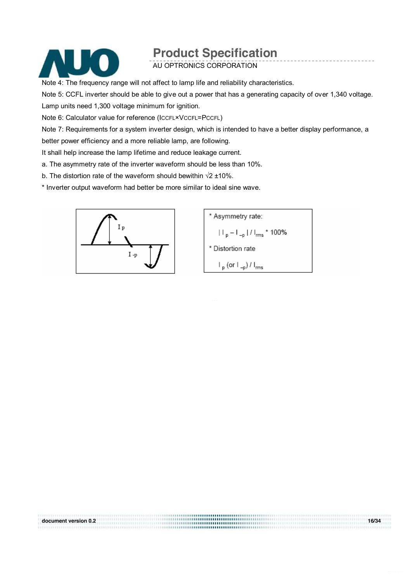![](_page_15_Picture_0.jpeg)

AU OPTRONICS CORPORATION

Note 4: The frequency range will not affect to lamp life and reliability characteristics.

Note 5: CCFL inverter should be able to give out a power that has a generating capacity of over 1,340 voltage. Lamp units need 1,300 voltage minimum for ignition.

Note 6: Calculator value for reference (ICCFL×VCCFL=PCCFL)

Note 7: Requirements for a system inverter design, which is intended to have a better display performance, a better power efficiency and a more reliable lamp, are following.

**document version 0.2 16/34** 

It shall help increase the lamp lifetime and reduce leakage current.

a. The asymmetry rate of the inverter waveform should be less than 10%.

b. The distortion rate of the waveform should bewithin √2 ±10%.

\* Inverter output waveform had better be more similar to ideal sine wave.

![](_page_15_Figure_11.jpeg)

![](_page_15_Figure_12.jpeg)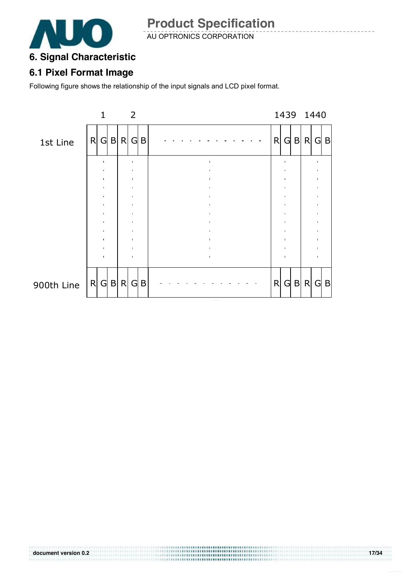![](_page_16_Picture_0.jpeg)

AU OPTRONICS CORPORATION

### **6. Signal Characteristic**

### **6.1 Pixel Format Image**

Following figure shows the relationship of the input signals and LCD pixel format.

![](_page_16_Figure_6.jpeg)

..................................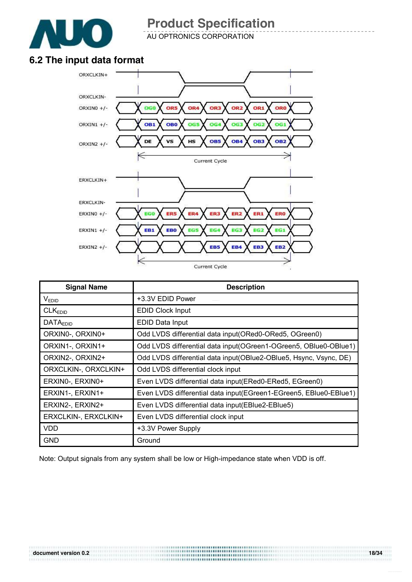![](_page_17_Picture_0.jpeg)

AU OPTRONICS CORPORATION

### **6.2 The input data format**

![](_page_17_Figure_4.jpeg)

| <b>Signal Name</b>   | <b>Description</b>                                                |
|----------------------|-------------------------------------------------------------------|
| V <sub>EDID</sub>    | +3.3V EDID Power                                                  |
| CLK <sub>EDID</sub>  | <b>EDID Clock Input</b>                                           |
| <b>DATAEDID</b>      | EDID Data Input                                                   |
| ORXIN0-, ORXIN0+     | Odd LVDS differential data input(ORed0-ORed5, OGreen0)            |
| ORXIN1-, ORXIN1+     | Odd LVDS differential data input (OGreen1-OGreen5, OBIue0-OBIue1) |
| ORXIN2-, ORXIN2+     | Odd LVDS differential data input(OBlue2-OBlue5, Hsync, Vsync, DE) |
| ORXCLKIN-, ORXCLKIN+ | Odd LVDS differential clock input                                 |
| ERXINO-, ERXINO+     | Even LVDS differential data input(ERed0-ERed5, EGreen0)           |
| ERXIN1-, ERXIN1+     | Even LVDS differential data input(EGreen1-EGreen5, EBlue0-EBlue1) |
| ERXIN2-, ERXIN2+     | Even LVDS differential data input(EBlue2-EBlue5)                  |
| ERXCLKIN-, ERXCLKIN+ | Even LVDS differential clock input                                |
| <b>VDD</b>           | +3.3V Power Supply                                                |
| <b>GND</b>           | Ground                                                            |

Note: Output signals from any system shall be low or High-impedance state when VDD is off.

..................................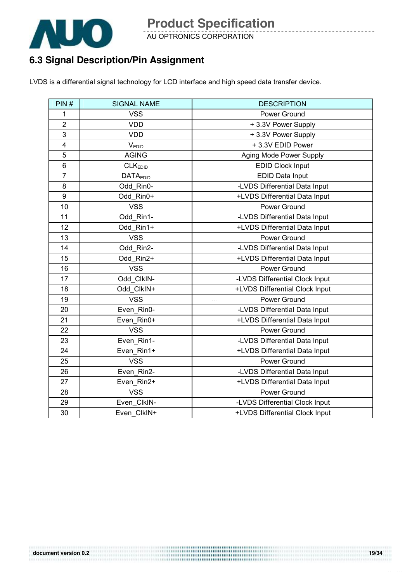![](_page_18_Picture_0.jpeg)

AU OPTRONICS CORPORATION

### **6.3 Signal Description/Pin Assignment**

LVDS is a differential signal technology for LCD interface and high speed data transfer device.

| PIN#                    | <b>SIGNAL NAME</b>  | <b>DESCRIPTION</b>             |
|-------------------------|---------------------|--------------------------------|
| 1                       | <b>VSS</b>          | Power Ground                   |
| $\overline{2}$          | <b>VDD</b>          | +3.3V Power Supply             |
| 3                       | <b>VDD</b>          | +3.3V Power Supply             |
| $\overline{\mathbf{4}}$ | VEDID               | +3.3V EDID Power               |
| 5                       | <b>AGING</b>        | Aging Mode Power Supply        |
| 6                       | CLK <sub>EDID</sub> | <b>EDID Clock Input</b>        |
| $\overline{7}$          | <b>DATAEDID</b>     | EDID Data Input                |
| 8                       | Odd Rin0-           | -LVDS Differential Data Input  |
| 9                       | Odd_Rin0+           | +LVDS Differential Data Input  |
| 10                      | <b>VSS</b>          | Power Ground                   |
| 11                      | Odd Rin1-           | -LVDS Differential Data Input  |
| 12                      | Odd Rin1+           | +LVDS Differential Data Input  |
| 13                      | <b>VSS</b>          | Power Ground                   |
| 14                      | Odd Rin2-           | -LVDS Differential Data Input  |
| 15                      | Odd_Rin2+           | +LVDS Differential Data Input  |
| 16                      | <b>VSS</b>          | Power Ground                   |
| 17                      | Odd_ClkIN-          | -LVDS Differential Clock Input |
| 18                      | Odd ClkIN+          | +LVDS Differential Clock Input |
| 19                      | <b>VSS</b>          | Power Ground                   |
| 20                      | Even Rin0-          | -LVDS Differential Data Input  |
| 21                      | Even Rin0+          | +LVDS Differential Data Input  |
| 22                      | <b>VSS</b>          | Power Ground                   |
| 23                      | Even Rin1-          | -LVDS Differential Data Input  |
| 24                      | Even_Rin1+          | +LVDS Differential Data Input  |
| 25                      | <b>VSS</b>          | Power Ground                   |
| 26                      | Even_Rin2-          | -LVDS Differential Data Input  |
| 27                      | Even_Rin2+          | +LVDS Differential Data Input  |
| 28                      | <b>VSS</b>          | Power Ground                   |
| 29                      | Even ClkIN-         | -LVDS Differential Clock Input |
| 30                      | Even ClkIN+         | +LVDS Differential Clock Input |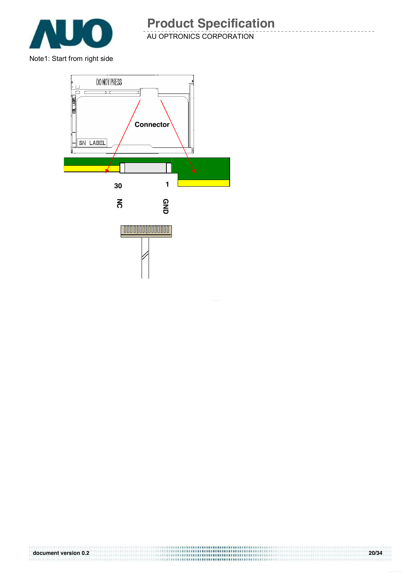![](_page_19_Picture_0.jpeg)

![](_page_19_Figure_2.jpeg)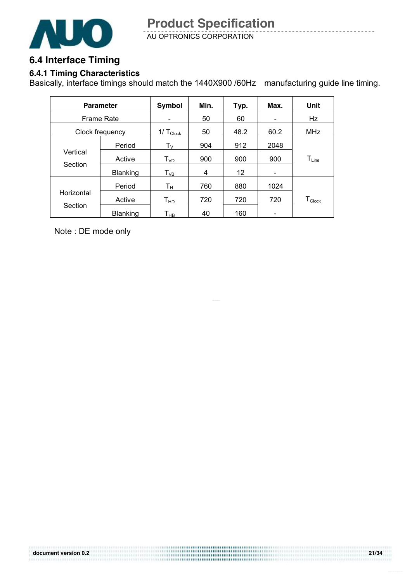![](_page_20_Picture_1.jpeg)

### **6.4 Interface Timing**

### **6.4.1 Timing Characteristics**

Basically, interface timings should match the 1440X900 /60Hz manufacturing guide line timing.

|                     | <b>Parameter</b> | Symbol                       | Min. | Typ. | Max. | Unit                           |
|---------------------|------------------|------------------------------|------|------|------|--------------------------------|
| <b>Frame Rate</b>   |                  | $\qquad \qquad \blacksquare$ | 50   | 60   | -    | Hz                             |
| Clock frequency     |                  | $1/\text{T}_{\text{Clock}}$  | 50   | 48.2 | 60.2 | <b>MHz</b>                     |
| Vertical<br>Section | Period           | $\mathsf{T}_\mathsf{V}$      | 904  | 912  | 2048 |                                |
|                     | Active           | $T_{VD}$                     | 900  | 900  | 900  | $T_{Line}$                     |
|                     | <b>Blanking</b>  | $\mathsf{T}_{\mathsf{VB}}$   | 4    | 12   |      |                                |
|                     | Period           | $T_{\rm H}$                  | 760  | 880  | 1024 |                                |
| Horizontal          | Active           | $T_{HD}$                     | 720  | 720  | 720  | ${\mathsf T}_{\mathsf{Clock}}$ |
| Section             | <b>Blanking</b>  | Т <sub>нв</sub>              | 40   | 160  |      |                                |

Note : DE mode only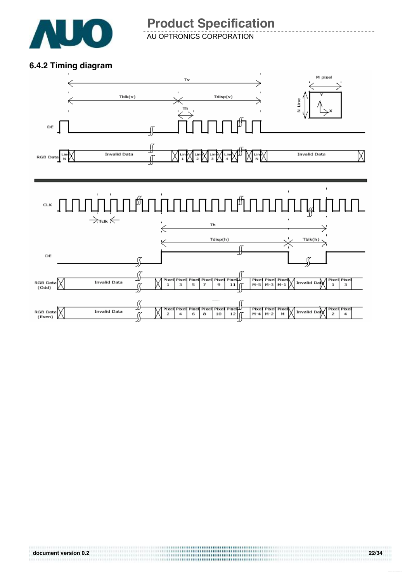![](_page_21_Picture_0.jpeg)

AU OPTRONICS CORPORATION

#### **6.4.2 Timing diagram**

![](_page_21_Figure_4.jpeg)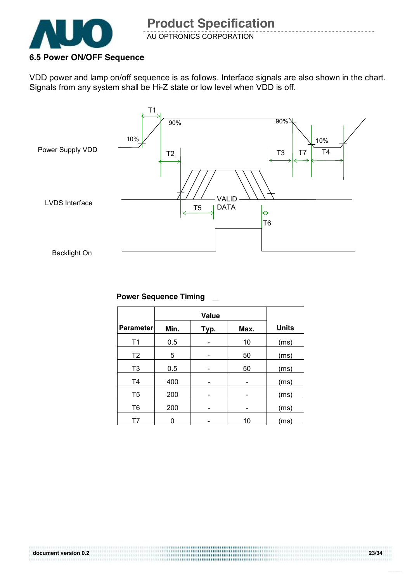![](_page_22_Picture_0.jpeg)

#### **6.5 Power ON/OFF Sequence**

VDD power and lamp on/off sequence is as follows. Interface signals are also shown in the chart. Signals from any system shall be Hi-Z state or low level when VDD is off.

![](_page_22_Figure_4.jpeg)

#### **Power Sequence Timing**

|                  |      | <b>Value</b> |      |              |
|------------------|------|--------------|------|--------------|
| <b>Parameter</b> | Min. | Typ.         | Max. | <b>Units</b> |
| T <sub>1</sub>   | 0.5  |              | 10   | (ms)         |
| T <sub>2</sub>   | 5    |              | 50   | (ms)         |
| T <sub>3</sub>   | 0.5  |              | 50   | (ms)         |
| T <sub>4</sub>   | 400  |              |      | (ms)         |
| T <sub>5</sub>   | 200  |              | -    | (ms)         |
| T <sub>6</sub>   | 200  |              |      | (ms)         |
| T7               |      |              | 10   | (ms)         |

..................... ,,,,,,,,,,,,,,,,,,,,,,,,,,,,,,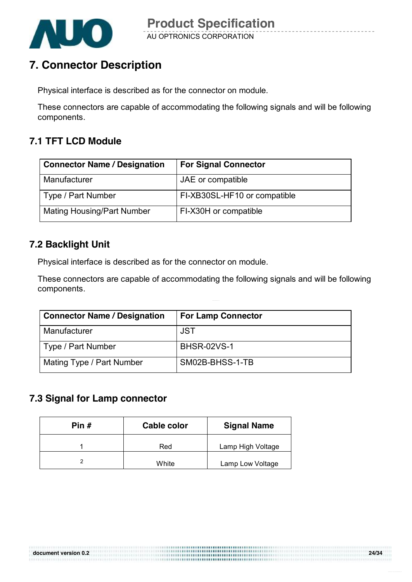![](_page_23_Picture_0.jpeg)

### **7. Connector Description**

Physical interface is described as for the connector on module.

These connectors are capable of accommodating the following signals and will be following components.

### **7.1 TFT LCD Module**

| <b>Connector Name / Designation</b> | <b>For Signal Connector</b>  |
|-------------------------------------|------------------------------|
| Manufacturer                        | JAE or compatible            |
| Type / Part Number                  | FI-XB30SL-HF10 or compatible |
| <b>Mating Housing/Part Number</b>   | FI-X30H or compatible        |

### **7.2 Backlight Unit**

Physical interface is described as for the connector on module.

These connectors are capable of accommodating the following signals and will be following components.

| <b>Connector Name / Designation</b> | <b>For Lamp Connector</b> |
|-------------------------------------|---------------------------|
| Manufacturer                        | <b>JST</b>                |
| Type / Part Number                  | <b>BHSR-02VS-1</b>        |
| Mating Type / Part Number           | SM02B-BHSS-1-TB           |

,,,,,,,,,,,,,,,,,,,,,,,,,,,,,,

#### **7.3 Signal for Lamp connector**

| Pin $#$ | <b>Cable color</b> | <b>Signal Name</b> |
|---------|--------------------|--------------------|
|         | Red                | Lamp High Voltage  |
|         | White              | Lamp Low Voltage   |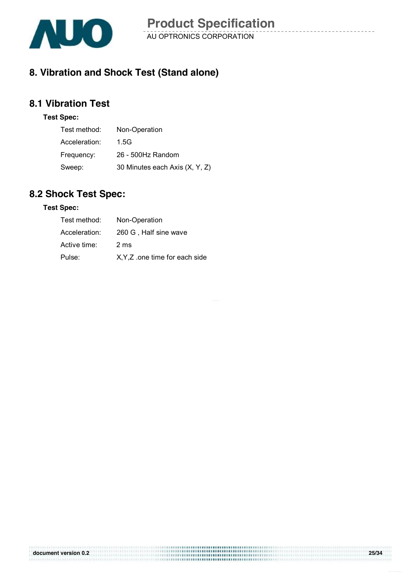![](_page_24_Picture_0.jpeg)

### **8. Vibration and Shock Test (Stand alone)**

### **8.1 Vibration Test**

#### **Test Spec:**

| Test method:  | Non-Operation                  |
|---------------|--------------------------------|
| Acceleration: | 1.5G                           |
| Frequency:    | 26 - 500Hz Random              |
| Sweep:        | 30 Minutes each Axis (X, Y, Z) |

### **8.2 Shock Test Spec:**

#### **Test Spec:**

| Test method:  | Non-Operation                  |
|---------------|--------------------------------|
| Acceleration: | 260 G, Half sine wave          |
| Active time:  | 2 ms                           |
| Pulse:        | X, Y, Z one time for each side |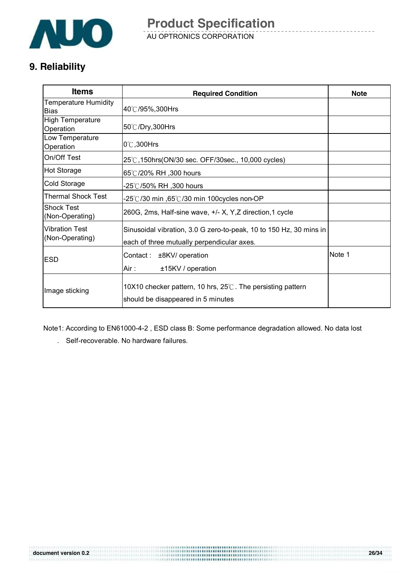![](_page_25_Picture_0.jpeg)

AU OPTRONICS CORPORATION **Product Specification** 

### **9. Reliability**

| <b>Items</b>                             | <b>Required Condition</b>                                                                                        | <b>Note</b> |
|------------------------------------------|------------------------------------------------------------------------------------------------------------------|-------------|
| Temperature Humidity<br><b>Bias</b>      | 40℃/95%,300Hrs                                                                                                   |             |
| <b>High Temperature</b><br>Operation     | 50℃/Dry,300Hrs                                                                                                   |             |
| Low Temperature<br>Operation             | $0^\circ\text{C}$ , 300Hrs                                                                                       |             |
| On/Off Test                              | 25℃,150hrs(ON/30 sec. OFF/30sec., 10,000 cycles)                                                                 |             |
| <b>Hot Storage</b>                       | 65℃/20% RH, 300 hours                                                                                            |             |
| Cold Storage                             | -25℃/50% RH ,300 hours                                                                                           |             |
| Thermal Shock Test                       | -25℃/30 min ,65℃/30 min 100cycles non-OP                                                                         |             |
| <b>Shock Test</b><br>(Non-Operating)     | 260G, 2ms, Half-sine wave, $+/- X$ , Y, Z direction, 1 cycle                                                     |             |
| <b>Vibration Test</b><br>(Non-Operating) | Sinusoidal vibration, 3.0 G zero-to-peak, 10 to 150 Hz, 30 mins in<br>each of three mutually perpendicular axes. |             |
| <b>ESD</b>                               | Contact :<br>±8KV/ operation<br>Air :<br>±15KV / operation                                                       | Note 1      |
| Image sticking                           | 10X10 checker pattern, 10 hrs, $25^{\circ}$ . The persisting pattern<br>should be disappeared in 5 minutes       |             |

Note1: According to EN61000-4-2 , ESD class B: Some performance degradation allowed. No data lost

. Self-recoverable. No hardware failures.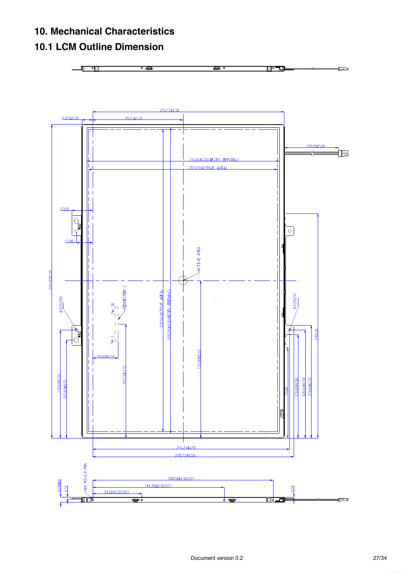### **10. Mechanical Characteristics**

### **10.1 LCM Outline Dimension**

![](_page_26_Figure_2.jpeg)

![](_page_26_Figure_3.jpeg)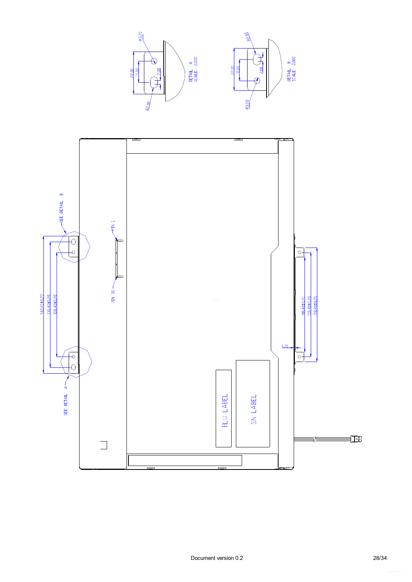![](_page_27_Figure_0.jpeg)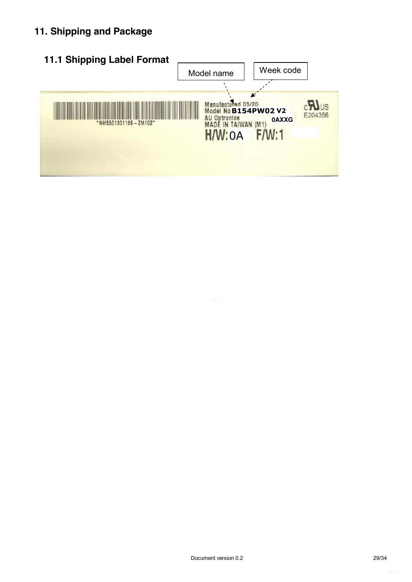### **11. Shipping and Package**

![](_page_28_Figure_1.jpeg)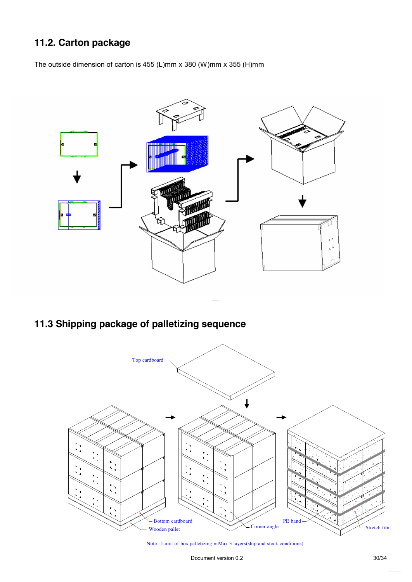### **11.2. Carton package**

The outside dimension of carton is 455 (L)mm x 380 (W)mm x 355 (H)mm

![](_page_29_Figure_2.jpeg)

### **11.3 Shipping package of palletizing sequence**

![](_page_29_Figure_4.jpeg)

Note : Limit of box palletizing = Max 3 layers(ship and stock conditions)

Document version 0.2 30/34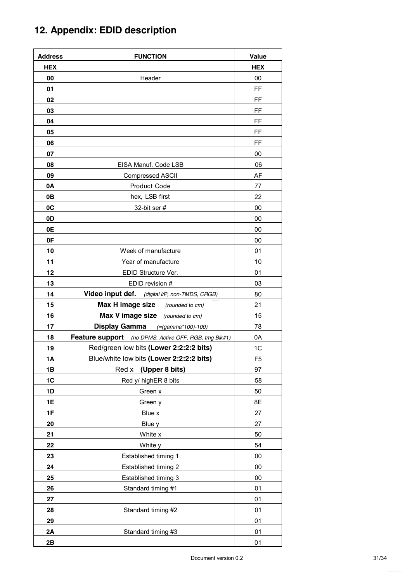## **12. Appendix: EDID description**

| <b>Address</b> | <b>FUNCTION</b>                                       | Value          |
|----------------|-------------------------------------------------------|----------------|
| <b>HEX</b>     |                                                       | <b>HEX</b>     |
| 00             | Header                                                | 00             |
| 01             |                                                       | FF             |
| 02             |                                                       | FF             |
| 03             |                                                       | FF             |
| 04             |                                                       | FF             |
| 05             |                                                       | FF             |
| 06             |                                                       | FF             |
| 07             |                                                       | 00             |
| 08             | EISA Manuf. Code LSB                                  | 06             |
| 09             | Compressed ASCII                                      | AF             |
| 0A             | Product Code                                          | 77             |
| 0B             | hex, LSB first                                        | 22             |
| 0C             | 32-bit ser #                                          | 00             |
| 0D             |                                                       | 00             |
| <b>0E</b>      |                                                       | 00             |
| 0F             |                                                       | 00             |
| 10             | Week of manufacture                                   | 01             |
| 11             | Year of manufacture                                   | 10             |
| 12             | EDID Structure Ver.                                   | 01             |
| 13             | EDID revision #                                       | 03             |
| 14             | Video input def. (digital I/P, non-TMDS, CRGB)        | 80             |
| 15             | <b>Max H image size</b> (rounded to cm)               | 21             |
| 16             | Max V image size (rounded to cm)                      | 15             |
| 17             | <b>Display Gamma</b><br>(=(gamma*100)-100)            | 78             |
| 18             | Feature support (no DPMS, Active OFF, RGB, tmg Blk#1) | 0A             |
| 19             | Red/green low bits (Lower 2:2:2:2 bits)               | 1C             |
| 1A             | Blue/white low bits (Lower 2:2:2:2 bits)              | F <sub>5</sub> |
| 1B             | Red x<br>(Upper 8 bits)                               | 97             |
| 1C             | Red y/ highER 8 bits                                  | 58             |
| 1D             | Green x                                               | 50             |
| 1E             | Green y                                               | 8E             |
| 1F             | Blue x                                                | 27             |
| 20             | Blue y                                                | 27             |
| 21             | White x                                               | 50             |
| 22             | White y                                               | 54             |
| 23             | Established timing 1                                  | 00             |
| 24             | Established timing 2                                  | 00             |
| 25             | Established timing 3                                  | 00             |
| 26             | Standard timing #1                                    | 01             |
| 27             |                                                       | 01             |
| 28             | Standard timing #2                                    | 01             |
| 29             |                                                       | 01             |
| 2A             | Standard timing #3                                    | 01             |
| 2B             |                                                       | 01             |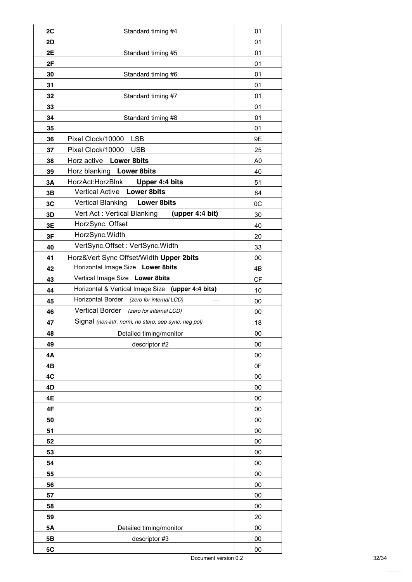| 2C<br>2D  | Standard timing #4                                   | 01<br>01       |
|-----------|------------------------------------------------------|----------------|
| 2E        | Standard timing #5                                   | 01             |
| 2F        |                                                      | 01             |
| 30        | Standard timing #6                                   | 01             |
| 31        |                                                      | 01             |
| 32        | Standard timing #7                                   | 01             |
| 33        |                                                      | 01             |
| 34        | Standard timing #8                                   | 01             |
| 35        |                                                      | 01             |
| 36        | Pixel Clock/10000 LSB                                | 9E             |
| 37        | Pixel Clock/10000 USB                                | 25             |
| 38        | Horz active Lower 8bits                              | A <sub>0</sub> |
| 39        | Horz blanking Lower 8bits                            | 40             |
| 3A        | HorzAct:HorzBlnk<br>Upper 4:4 bits                   | 51             |
| 3B        | Vertical Active Lower 8bits                          | 84             |
| 3C        | <b>Vertical Blanking</b><br><b>Lower 8bits</b>       | 0C             |
| 3D        | Vert Act: Vertical Blanking<br>(upper 4:4 bit)       | 30             |
| 3E        | HorzSync. Offset                                     | 40             |
| 3F        | HorzSync. Width                                      | 20             |
| 40        | VertSync.Offset: VertSync.Width                      | 33             |
| 41        | Horz‖ Sync Offset/Width Upper 2bits                  | 00             |
| 42        | Horizontal Image Size Lower 8bits                    | 4B             |
| 43        | Vertical Image Size Lower 8bits                      | CF             |
| 44        | Horizontal & Vertical Image Size (upper 4:4 bits)    | 10             |
| 45        | Horizontal Border (zero for internal LCD)            | 00             |
| 46        | <b>Vertical Border</b><br>(zero for internal LCD)    | 00             |
| 47        | Signal (non-intr, norm, no stero, sep sync, neg pol) | 18             |
| 48        | Detailed timing/monitor                              | $00\,$         |
| 49        | descriptor #2                                        | 00             |
| 4Α        |                                                      | 00             |
| 4B        |                                                      | 0F             |
| 4C        |                                                      | 00             |
| 4D        |                                                      | 00             |
| 4E        |                                                      | 00             |
| 4F        |                                                      | 00             |
| 50        |                                                      | 00             |
| 51        |                                                      | 00             |
| 52        |                                                      | 00             |
| 53        |                                                      | 00             |
| 54        |                                                      | 00             |
| 55        |                                                      | 00             |
| 56        |                                                      | 00             |
| 57        |                                                      | 00             |
| 58        |                                                      | 00             |
| 59        |                                                      | 20             |
| <b>5A</b> | Detailed timing/monitor                              | 00             |
| 5B        | descriptor #3                                        | 00             |
| 5C        |                                                      | 00             |